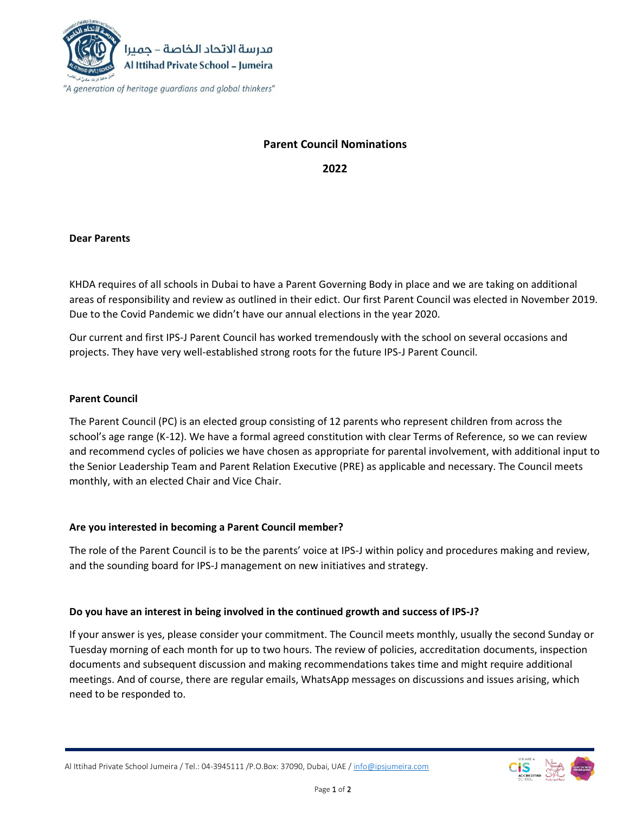

# **Parent Council Nominations**

**2022**

### **Dear Parents**

KHDA requires of all schools in Dubai to have a Parent Governing Body in place and we are taking on additional areas of responsibility and review as outlined in their edict. Our first Parent Council was elected in November 2019. Due to the Covid Pandemic we didn't have our annual elections in the year 2020.

Our current and first IPS-J Parent Council has worked tremendously with the school on several occasions and projects. They have very well-established strong roots for the future IPS-J Parent Council.

### **Parent Council**

The Parent Council (PC) is an elected group consisting of 12 parents who represent children from across the school's age range (K-12). We have a formal agreed constitution with clear Terms of Reference, so we can review and recommend cycles of policies we have chosen as appropriate for parental involvement, with additional input to the Senior Leadership Team and Parent Relation Executive (PRE) as applicable and necessary. The Council meets monthly, with an elected Chair and Vice Chair.

## **Are you interested in becoming a Parent Council member?**

The role of the Parent Council is to be the parents' voice at IPS-J within policy and procedures making and review, and the sounding board for IPS-J management on new initiatives and strategy.

#### **Do you have an interest in being involved in the continued growth and success of IPS-J?**

If your answer is yes, please consider your commitment. The Council meets monthly, usually the second Sunday or Tuesday morning of each month for up to two hours. The review of policies, accreditation documents, inspection documents and subsequent discussion and making recommendations takes time and might require additional meetings. And of course, there are regular emails, WhatsApp messages on discussions and issues arising, which need to be responded to.